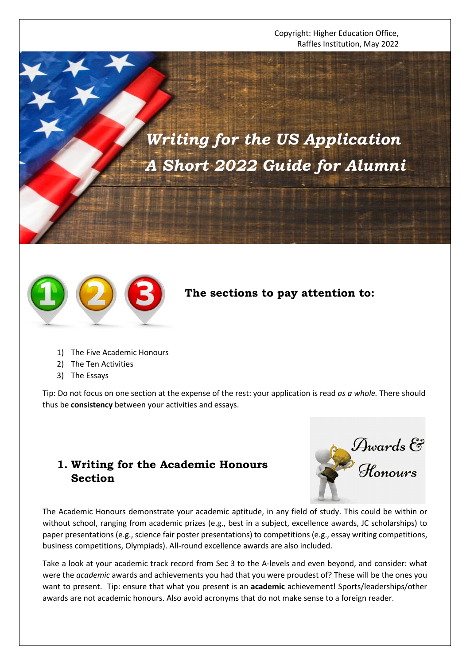Copyright: Higher Education Office, Raffles Institution, May 2022

*Writing for the US Application A Short 2022 Guide for Alumni*



# **The sections to pay attention to:**

- 1) The Five Academic Honours
- 2) The Ten Activities
- 3) The Essays

Tip: Do not focus on one section at the expense of the rest: your application is read *as a whole.* There should thus be **consistency** between your activities and essays.

### **1. Writing for the Academic Honours Section**

Awards &<br>Honours

The Academic Honours demonstrate your academic aptitude, in any field of study. This could be within or without school, ranging from academic prizes (e.g., best in a subject, excellence awards, JC scholarships) to paper presentations (e.g., science fair poster presentations) to competitions (e.g., essay writing competitions, business competitions, Olympiads). All-round excellence awards are also included.

Take a look at your academic track record from Sec 3 to the A-levels and even beyond, and consider: what were the *academic* awards and achievements you had that you were proudest of? These will be the ones you want to present. Tip: ensure that what you present is an **academic** achievement! Sports/leaderships/other awards are not academic honours. Also avoid acronyms that do not make sense to a foreign reader.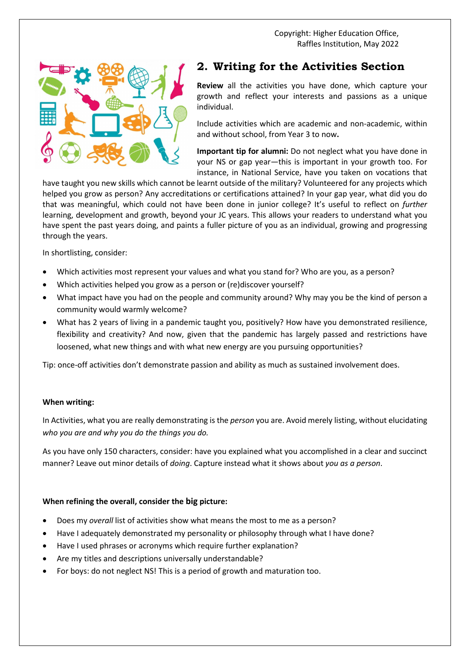Copyright: Higher Education Office, Raffles Institution, May 2022



## **2. Writing for the Activities Section**

**Review** all the activities you have done, which capture your growth and reflect your interests and passions as a unique individual.

Include activities which are academic and non-academic, within and without school, from Year 3 to now**.** 

**Important tip for alumni:** Do not neglect what you have done in your NS or gap year—this is important in your growth too. For instance, in National Service, have you taken on vocations that

have taught you new skills which cannot be learnt outside of the military? Volunteered for any projects which helped you grow as person? Any accreditations or certifications attained? In your gap year, what did you do that was meaningful, which could not have been done in junior college? It's useful to reflect on *further* learning, development and growth, beyond your JC years. This allows your readers to understand what you have spent the past years doing, and paints a fuller picture of you as an individual, growing and progressing through the years.

In shortlisting, consider:

- Which activities most represent your values and what you stand for? Who are you, as a person?
- Which activities helped you grow as a person or (re)discover yourself?
- What impact have you had on the people and community around? Why may you be the kind of person a community would warmly welcome?
- What has 2 years of living in a pandemic taught you, positively? How have you demonstrated resilience, flexibility and creativity? And now, given that the pandemic has largely passed and restrictions have loosened, what new things and with what new energy are you pursuing opportunities?

Tip: once-off activities don't demonstrate passion and ability as much as sustained involvement does.

#### **When writing:**

In Activities, what you are really demonstrating is the *person* you are. Avoid merely listing, without elucidating *who you are and why you do the things you do.*

As you have only 150 characters, consider: have you explained what you accomplished in a clear and succinct manner? Leave out minor details of *doing*. Capture instead what it shows about *you as a person*.

### **When refining the overall, consider the big picture:**

- Does my *overall* list of activities show what means the most to me as a person?
- Have I adequately demonstrated my personality or philosophy through what I have done?
- Have I used phrases or acronyms which require further explanation?
- Are my titles and descriptions universally understandable?
- For boys: do not neglect NS! This is a period of growth and maturation too.